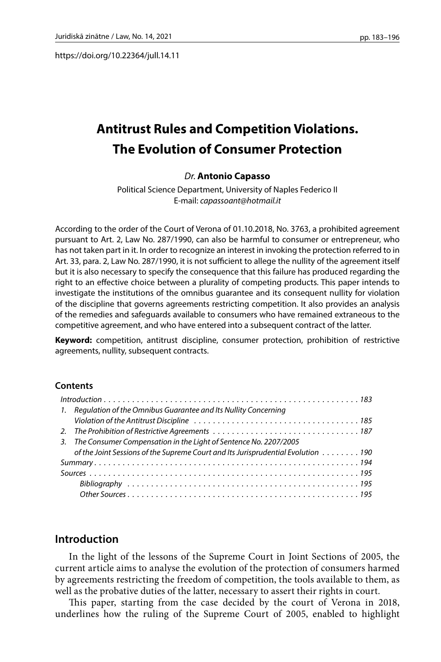https://doi.org/10.22364/jull.14.11

# **Antitrust Rules and Competition Violations. The Evolution of Consumer Protection**

### *Dr.* **Antonio Capasso**

Political Science Department, University of Naples Federico II E-mail: *[capassoant@hotmail.it](mailto:capassoant@hotmail.it)*

According to the order of the Court of Verona of 01.10.2018, No. 3763, a prohibited agreement pursuant to Art. 2, Law No. 287/1990, can also be harmful to consumer or entrepreneur, who has not taken part in it. In order to recognize an interest in invoking the protection referred to in Art. 33, para. 2, Law No. 287/1990, it is not sufficient to allege the nullity of the agreement itself but it is also necessary to specify the consequence that this failure has produced regarding the right to an effective choice between a plurality of competing products. This paper intends to investigate the institutions of the omnibus guarantee and its consequent nullity for violation of the discipline that governs agreements restricting competition. It also provides an analysis of the remedies and safeguards available to consumers who have remained extraneous to the competitive agreement, and who have entered into a subsequent contract of the latter.

**Keyword:** competition, antitrust discipline, consumer protection, prohibition of restrictive agreements, nullity, subsequent contracts.

#### **Contents**

|  | 1. Regulation of the Omnibus Guarantee and Its Nullity Concerning                |  |
|--|----------------------------------------------------------------------------------|--|
|  |                                                                                  |  |
|  |                                                                                  |  |
|  | 3. The Consumer Compensation in the Light of Sentence No. 2207/2005              |  |
|  | of the Joint Sessions of the Supreme Court and Its Jurisprudential Evolution 190 |  |
|  |                                                                                  |  |
|  |                                                                                  |  |
|  |                                                                                  |  |
|  |                                                                                  |  |

### **Introduction**

In the light of the lessons of the Supreme Court in Joint Sections of 2005, the current article aims to analyse the evolution of the protection of consumers harmed by agreements restricting the freedom of competition, the tools available to them, as well as the probative duties of the latter, necessary to assert their rights in court.

This paper, starting from the case decided by the court of Verona in 2018, underlines how the ruling of the Supreme Court of 2005, enabled to highlight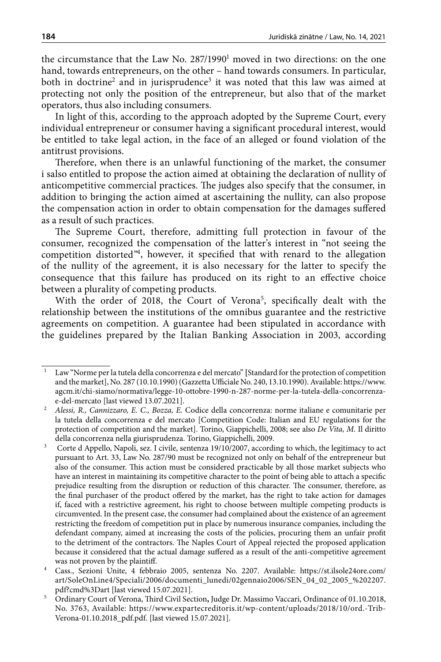the circumstance that the Law No. 287/1990<sup>1</sup> moved in two directions: on the one hand, towards entrepreneurs, on the other – hand towards consumers. In particular, both in doctrine<sup>2</sup> and in jurisprudence<sup>3</sup> it was noted that this law was aimed at protecting not only the position of the entrepreneur, but also that of the market operators, thus also including consumers.

In light of this, according to the approach adopted by the Supreme Court, every individual entrepreneur or consumer having a significant procedural interest, would be entitled to take legal action, in the face of an alleged or found violation of the antitrust provisions.

Therefore, when there is an unlawful functioning of the market, the consumer i salso entitled to propose the action aimed at obtaining the declaration of nullity of anticompetitive commercial practices. The judges also specify that the consumer, in addition to bringing the action aimed at ascertaining the nullity, can also propose the compensation action in order to obtain compensation for the damages suffered as a result of such practices.

The Supreme Court, therefore, admitting full protection in favour of the consumer, recognized the compensation of the latter's interest in "not seeing the competition distorted"4 , however, it specified that with renard to the allegation of the nullity of the agreement, it is also necessary for the latter to specify the consequence that this failure has produced on its right to an effective choice between a plurality of competing products.

With the order of 2018, the Court of Verona<sup>5</sup>, specifically dealt with the relationship between the institutions of the omnibus guarantee and the restrictive agreements on competition. A guarantee had been stipulated in accordance with the guidelines prepared by the Italian Banking Association in 2003, according

<sup>1</sup> Law "Norme per la tutela della concorrenza e del mercato" **[**Standard for the protection of competition and the market], No. 287 (10.10.1990) (Gazzetta Ufficiale No. 240, 13.10.1990). Available: https://www. agcm.it/chi-siamo/normativa/legge-10-ottobre-1990-n-287-norme-per-la-tutela-della-concorrenzae-del-mercato [last viewed 13.07.2021].

<sup>2</sup> *Alessi, R., Cannizzaro, E. C., Bozza, E.* Codice della concorrenza: norme italiane e comunitarie per la tutela della concorrenza e del mercato [Competition Code: Italian and EU regulations for the protection of competition and the market]. Torino, Giappichelli, 2008; see also *De Vita, M.* Il diritto della concorrenza nella giurisprudenza. Torino, Giappichelli, 2009.

<sup>&</sup>lt;sup>3</sup> Corte d Appello, Napoli, sez. I civile, sentenza 19/10/2007, according to which, the legitimacy to act pursuant to Art. 33, Law No. 287/90 must be recognized not only on behalf of the entrepreneur but also of the consumer. This action must be considered practicable by all those market subjects who have an interest in maintaining its competitive character to the point of being able to attach a specific prejudice resulting from the disruption or reduction of this character. The consumer, therefore, as the final purchaser of the product offered by the market, has the right to take action for damages if, faced with a restrictive agreement, his right to choose between multiple competing products is circumvented. In the present case, the consumer had complained about the existence of an agreement restricting the freedom of competition put in place by numerous insurance companies, including the defendant company, aimed at increasing the costs of the policies, procuring them an unfair profit to the detriment of the contractors. The Naples Court of Appeal rejected the proposed application because it considered that the actual damage suffered as a result of the anti-competitive agreement was not proven by the plaintiff.

<sup>4</sup> Cass., Sezioni Unite, 4 febbraio 2005, sentenza No. 2207. Available: [https://st.ilsole24ore.com/](https://st.ilsole24ore.com/art/SoleOnLine4/Speciali/2006/documenti_lunedi/02gennaio2006/SEN_04_02_2005_%202207.pdf?cmd%3Dart) [art/SoleOnLine4/Speciali/2006/documenti\\_lunedi/02gennaio2006/SEN\\_04\\_02\\_2005\\_%202207.](https://st.ilsole24ore.com/art/SoleOnLine4/Speciali/2006/documenti_lunedi/02gennaio2006/SEN_04_02_2005_%202207.pdf?cmd%3Dart) [pdf?cmd%3Dart](https://st.ilsole24ore.com/art/SoleOnLine4/Speciali/2006/documenti_lunedi/02gennaio2006/SEN_04_02_2005_%202207.pdf?cmd%3Dart) [last viewed 15.07.2021].

<sup>5</sup> Ordinary Court of Verona, Third Civil Section**,** Judge Dr. Massimo Vaccari, Ordinance of 01.10.2018, No. 3763, Available: [https://www.expartecreditoris.it/wp-content/uploads/2018/10/ord.-Trib-](https://www.expartecreditoris.it/wp-content/uploads/2018/10/ord.-Trib-Verona-01.10.2018_pdf.pdf)[Verona-01.10.2018\\_pdf.pdf.](https://www.expartecreditoris.it/wp-content/uploads/2018/10/ord.-Trib-Verona-01.10.2018_pdf.pdf) [last viewed 15.07.2021].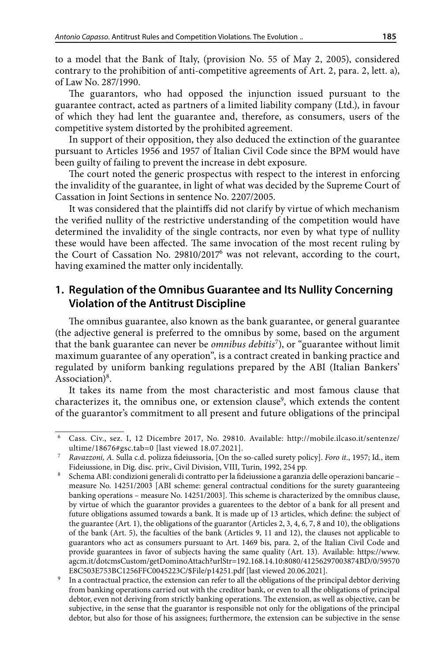to a model that the Bank of Italy, (provision No. 55 of May 2, 2005), considered contrary to the prohibition of anti-competitive agreements of Art. 2, para. 2, lett. a), of Law No. 287/1990.

The guarantors, who had opposed the injunction issued pursuant to the guarantee contract, acted as partners of a limited liability company (Ltd.), in favour of which they had lent the guarantee and, therefore, as consumers, users of the competitive system distorted by the prohibited agreement.

In support of their opposition, they also deduced the extinction of the guarantee pursuant to Articles 1956 and 1957 of Italian Civil Code since the BPM would have been guilty of failing to prevent the increase in debt exposure.

The court noted the generic prospectus with respect to the interest in enforcing the invalidity of the guarantee, in light of what was decided by the Supreme Court of Cassation in Joint Sections in sentence No. 2207/2005.

It was considered that the plaintiffs did not clarify by virtue of which mechanism the verified nullity of the restrictive understanding of the competition would have determined the invalidity of the single contracts, nor even by what type of nullity these would have been affected. The same invocation of the most recent ruling by the Court of Cassation No. 29810/2017<sup>6</sup> was not relevant, according to the court, having examined the matter only incidentally.

# **1. Regulation of the Omnibus Guarantee and Its Nullity Concerning Violation of the Antitrust Discipline**

The omnibus guarantee, also known as the bank guarantee, or general guarantee (the adjective general is preferred to the omnibus by some, based on the argument that the bank guarantee can never be *omnibus debitis*<sup>7</sup> ), or "guarantee without limit maximum guarantee of any operation", is a contract created in banking practice and regulated by uniform banking regulations prepared by the ABI (Italian Bankers' Association)<sup>8</sup>.

It takes its name from the most characteristic and most famous clause that characterizes it, the omnibus one, or extension clause<sup>9</sup>, which extends the content of the guarantor's commitment to all present and future obligations of the principal

<sup>6</sup> Cass. Civ., sez. I, 12 Dicembre 2017, No. 29810. Available: http://mobile.ilcaso.it/sentenze/ ultime/18676#gsc.tab=0 [last viewed 18.07.2021].

<sup>7</sup> *Ravazzoni, A.* Sulla c.d. polizza fideiussoria, [On the so-called surety policy]. *Foro it*., 1957; Id., item Fideiussione, in Dig. disc. priv., Civil Division, VIII, Turin, 1992, 254 pp.

<sup>8</sup> Schema ABI: condizioni generali di contratto per la fideiussione a garanzia delle operazioni bancarie – measure No. 14251/2003 [ABI scheme: general contractual conditions for the surety guaranteeing banking operations – measure No. 14251/2003]. This scheme is characterized by the omnibus clause, by virtue of which the guarantor provides a guarentees to the debtor of a bank for all present and future obligations assumed towards a bank. It is made up of 13 articles, which define: the subject of the guarantee (Art. 1), the obligations of the guarantor (Articles 2, 3, 4, 6, 7, 8 and 10), the obligations of the bank (Art. 5), the faculties of the bank (Articles 9, 11 and 12), the clauses not applicable to guarantors who act as consumers pursuant to Art. 1469 bis, para. 2, of the Italian Civil Code and provide guarantees in favor of subjects having the same quality (Art. 13). Available: [https://www.](https://www.agcm.it/dotcmsCustom/getDominoAttach?urlStr=192.168.14.10:8080/41256297003874BD/0/59570E8C503E753BC1256FFC0045223C/$File/p14251.pdf) [agcm.it/dotcmsCustom/getDominoAttach?urlStr=192.168.14.10:8080/41256297003874BD/0/59570](https://www.agcm.it/dotcmsCustom/getDominoAttach?urlStr=192.168.14.10:8080/41256297003874BD/0/59570E8C503E753BC1256FFC0045223C/$File/p14251.pdf) [E8C503E753BC1256FFC0045223C/\\$File/p14251.pdf](https://www.agcm.it/dotcmsCustom/getDominoAttach?urlStr=192.168.14.10:8080/41256297003874BD/0/59570E8C503E753BC1256FFC0045223C/$File/p14251.pdf) [last viewed 20.06.2021].

<sup>9</sup> In a contractual practice, the extension can refer to all the obligations of the principal debtor deriving from banking operations carried out with the creditor bank, or even to all the obligations of principal debtor, even not deriving from strictly banking operations. The extension, as well as objective, can be subjective, in the sense that the guarantor is responsible not only for the obligations of the principal debtor, but also for those of his assignees; furthermore, the extension can be subjective in the sense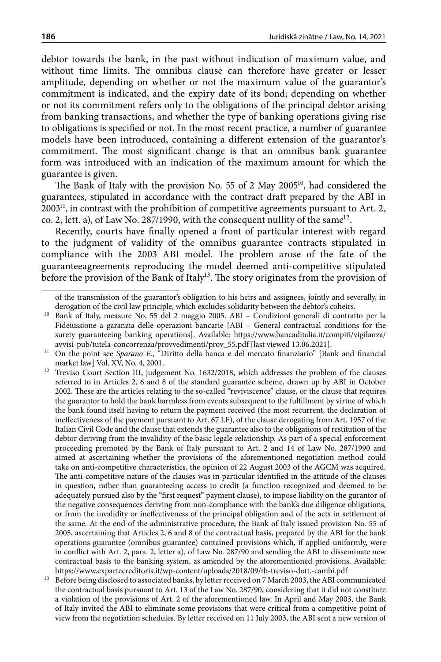debtor towards the bank, in the past without indication of maximum value, and without time limits. The omnibus clause can therefore have greater or lesser amplitude, depending on whether or not the maximum value of the guarantor's commitment is indicated, and the expiry date of its bond; depending on whether or not its commitment refers only to the obligations of the principal debtor arising from banking transactions, and whether the type of banking operations giving rise to obligations is specified or not. In the most recent practice, a number of guarantee models have been introduced, containing a different extension of the guarantor's commitment. The most significant change is that an omnibus bank guarantee form was introduced with an indication of the maximum amount for which the guarantee is given.

The Bank of Italy with the provision No. 55 of 2 May 2005<sup>10</sup>, had considered the guarantees, stipulated in accordance with the contract draft prepared by the ABI in  $2003<sup>11</sup>$ , in contrast with the prohibition of competitive agreements pursuant to Art. 2, co. 2, lett. a), of Law No. 287/1990, with the consequent nullity of the same<sup>12</sup>.

Recently, courts have finally opened a front of particular interest with regard to the judgment of validity of the omnibus guarantee contracts stipulated in compliance with the 2003 ABI model. The problem arose of the fate of the guaranteeagreements reproducing the model deemed anti-competitive stipulated before the provision of the Bank of Italy<sup>13</sup>. The story originates from the provision of

of the transmission of the guarantor's obligation to his heirs and assignees, jointly and severally, in derogation of the civil law principle, which excludes solidarity between the debtor's coheirs.

<sup>&</sup>lt;sup>10</sup> Bank of Italy, measure No. 55 del 2 maggio 2005. ABI - Condizioni generali di contratto per la Fideiussione a garanzia delle operazioni bancarie [ABI – General contractual conditions for the surety guaranteeing banking operations]. Available: [https://www.bancaditalia.it/compiti/vigilanza/](https://www.bancaditalia.it/compiti/vigilanza/avvisi-pub/tutela-concorrenza/provvedimenti/prov_55.pdf) [avvisi-pub/tutela-concorrenza/provvedimenti/prov\\_55.pdf](https://www.bancaditalia.it/compiti/vigilanza/avvisi-pub/tutela-concorrenza/provvedimenti/prov_55.pdf) [last viewed 13.06.2021].

<sup>&</sup>lt;sup>11</sup> On the point see *Sparano E.*, <sup>"</sup>Diritto della banca e del mercato finanziario" [Bank and financial market law] Vol. XV, No. 4, 2001.

<sup>&</sup>lt;sup>12</sup> Treviso Court Section III, judgement No. 1632/2018, which addresses the problem of the clauses referred to in Articles 2, 6 and 8 of the standard guarantee scheme, drawn up by ABI in October 2002. These are the articles relating to the so-called "reviviscence" clause, or the clause that requires the guarantor to hold the bank harmless from events subsequent to the fulfillment by virtue of which the bank found itself having to return the payment received (the most recurrent, the declaration of ineffectiveness of the payment pursuant to Art. 67 LF), of the clause derogating from Art. 1957 of the Italian Civil Code and the clause that extends the guarantee also to the obligations of restitution of the debtor deriving from the invalidity of the basic legale relationship. As part of a special enforcement proceeding promoted by the Bank of Italy pursuant to Art. 2 and 14 of Law No. 287/1990 and aimed at ascertaining whether the provisions of the aforementioned negotiation method could take on anti-competitive characteristics, the opinion of 22 August 2003 of the AGCM was acquired. The anti-competitive nature of the clauses was in particular identified in the attitude of the clauses in question, rather than guaranteeing access to credit (a function recognized and deemed to be adequately pursued also by the "first request" payment clause), to impose liability on the gurantor of the negative consequences deriving from non-compliance with the bank's due diligence obligations, or from the invalidity or ineffectiveness of the principal obligation and of the acts in settlement of the same. At the end of the administrative procedure, the Bank of Italy issued provision No. 55 of 2005, ascertaining that Articles 2, 6 and 8 of the contractual basis, prepared by the ABI for the bank operations guarantee (omnibus guarantee) contained provisions which, if applied uniformly, were in conflict with Art. 2, para. 2, letter a), of Law No. 287/90 and sending the ABI to disseminate new contractual basis to the banking system, as amended by the aforementioned provisions. Available: https://www.expartecreditoris.it/wp-content/uploads/2018/09/tb-treviso-dott.-cambi.pdf

<sup>&</sup>lt;sup>13</sup> Before being disclosed to associated banks, by letter received on 7 March 2003, the ABI communicated the contractual basis pursuant to Art. 13 of the Law No. 287/90, considering that it did not constitute a violation of the provisions of Art. 2 of the aforementioned law. In April and May 2003, the Bank of Italy invited the ABI to eliminate some provisions that were critical from a competitive point of view from the negotiation schedules. By letter received on 11 July 2003, the ABI sent a new version of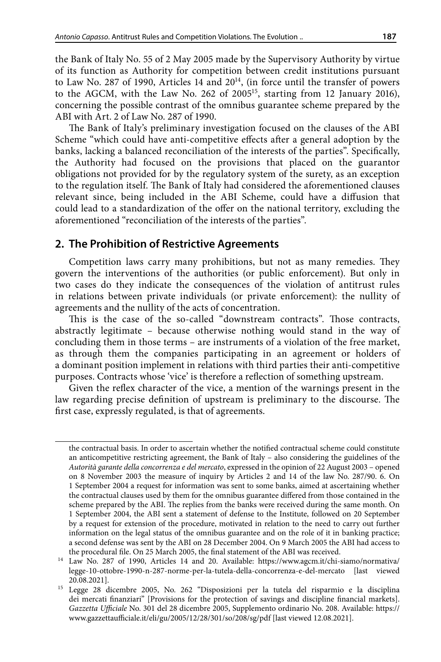the Bank of Italy No. 55 of 2 May 2005 made by the Supervisory Authority by virtue of its function as Authority for competition between credit institutions pursuant to Law No. 287 of 1990, Articles 14 and  $20^{14}$ , (in force until the transfer of powers to the AGCM, with the Law No. 262 of 200515, starting from 12 January 2016), concerning the possible contrast of the omnibus guarantee scheme prepared by the ABI with Art. 2 of Law No. 287 of 1990.

The Bank of Italy's preliminary investigation focused on the clauses of the ABI Scheme "which could have anti-competitive effects after a general adoption by the banks, lacking a balanced reconciliation of the interests of the parties". Specifically, the Authority had focused on the provisions that placed on the guarantor obligations not provided for by the regulatory system of the surety, as an exception to the regulation itself. The Bank of Italy had considered the aforementioned clauses relevant since, being included in the ABI Scheme, could have a diffusion that could lead to a standardization of the offer on the national territory, excluding the aforementioned "reconciliation of the interests of the parties".

### **2. The Prohibition of Restrictive Agreements**

Competition laws carry many prohibitions, but not as many remedies. They govern the interventions of the authorities (or public enforcement). But only in two cases do they indicate the consequences of the violation of antitrust rules in relations between private individuals (or private enforcement): the nullity of agreements and the nullity of the acts of concentration.

This is the case of the so-called "downstream contracts". Those contracts, abstractly legitimate – because otherwise nothing would stand in the way of concluding them in those terms – are instruments of a violation of the free market, as through them the companies participating in an agreement or holders of a dominant position implement in relations with third parties their anti-competitive purposes. Contracts whose 'vice' is therefore a reflection of something upstream.

Given the reflex character of the vice, a mention of the warnings present in the law regarding precise definition of upstream is preliminary to the discourse. The first case, expressly regulated, is that of agreements.

the contractual basis. In order to ascertain whether the notified contractual scheme could constitute an anticompetitive restricting agreement, the Bank of Italy – also considering the guidelines of the *Autorità garante della concorrenza e del mercato*, expressed in the opinion of 22 August 2003 – opened on 8 November 2003 the measure of inquiry by Articles 2 and 14 of the law No. 287/90. 6. On 1 September 2004 a request for information was sent to some banks, aimed at ascertaining whether the contractual clauses used by them for the omnibus guarantee differed from those contained in the scheme prepared by the ABI. The replies from the banks were received during the same month. On 1 September 2004, the ABI sent a statement of defense to the Institute, followed on 20 September by a request for extension of the procedure, motivated in relation to the need to carry out further information on the legal status of the omnibus guarantee and on the role of it in banking practice; a second defense was sent by the ABI on 28 December 2004. On 9 March 2005 the ABI had access to

the procedural file. On 25 March 2005, the final statement of the ABI was received. 14 Law No. 287 of 1990, Articles 14 and 20. Available: [https://www.agcm.it/chi-siamo/normativa/](https://www.agcm.it/chi-siamo/normativa/legge-10-ottobre-1990-n-287-norme-per-la-tutela-della-concorrenza-e-del-mercato) [legge-10-ottobre-1990-n-287-norme-per-la-tutela-della-concorrenza-e-del-mercato](https://www.agcm.it/chi-siamo/normativa/legge-10-ottobre-1990-n-287-norme-per-la-tutela-della-concorrenza-e-del-mercato) [last viewed 20.08.2021].

<sup>15</sup> Legge 28 dicembre 2005, No. 262 "Disposizioni per la tutela del risparmio e la disciplina dei mercati finanziari" [Provisions for the protection of savings and discipline financial markets]. *Gazzetta Ufficiale* No. 301 del 28 dicembre 2005, Supplemento ordinario No. 208. Available: [https://](https://www.gazzettaufficiale.it/eli/gu/2005/12/28/301/so/208/sg/pdf) [www.gazzettaufficiale.it/eli/gu/2005/12/28/301/so/208/sg/pdf](https://www.gazzettaufficiale.it/eli/gu/2005/12/28/301/so/208/sg/pdf) [last viewed 12.08.2021].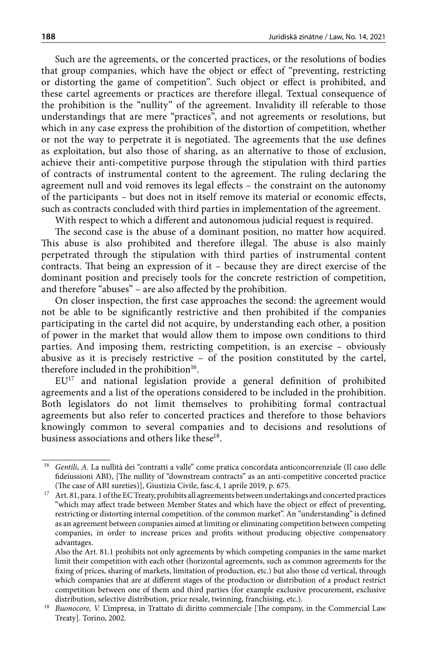Such are the agreements, or the concerted practices, or the resolutions of bodies that group companies, which have the object or effect of "preventing, restricting or distorting the game of competition". Such object or effect is prohibited, and these cartel agreements or practices are therefore illegal. Textual consequence of the prohibition is the "nullity" of the agreement. Invalidity ill referable to those understandings that are mere "practices", and not agreements or resolutions, but which in any case express the prohibition of the distortion of competition, whether or not the way to perpetrate it is negotiated. The agreements that the use defines as exploitation, but also those of sharing, as an alternative to those of exclusion, achieve their anti-competitive purpose through the stipulation with third parties of contracts of instrumental content to the agreement. The ruling declaring the agreement null and void removes its legal effects – the constraint on the autonomy of the participants – but does not in itself remove its material or economic effects, such as contracts concluded with third parties in implementation of the agreement.

With respect to which a different and autonomous judicial request is required.

The second case is the abuse of a dominant position, no matter how acquired. This abuse is also prohibited and therefore illegal. The abuse is also mainly perpetrated through the stipulation with third parties of instrumental content contracts. That being an expression of it – because they are direct exercise of the dominant position and precisely tools for the concrete restriction of competition, and therefore "abuses" – are also affected by the prohibition.

On closer inspection, the first case approaches the second: the agreement would not be able to be significantly restrictive and then prohibited if the companies participating in the cartel did not acquire, by understanding each other, a position of power in the market that would allow them to impose own conditions to third parties. And imposing them, restricting competition, is an exercise – obviously abusive as it is precisely restrictive – of the position constituted by the cartel, therefore included in the prohibition<sup>16</sup>.

EU17 and national legislation provide a general definition of prohibited agreements and a list of the operations considered to be included in the prohibition. Both legislators do not limit themselves to prohibiting formal contractual agreements but also refer to concerted practices and therefore to those behaviors knowingly common to several companies and to decisions and resolutions of business associations and others like these<sup>18</sup>.

<sup>16</sup> *Gentili*, *A.* La nullità dei "contratti a valle" come pratica concordata anticoncorrenziale (Il caso delle fideiussioni ABI), [The nullity of "downstream contracts" as an anti-competitive concerted practice (The case of ABI sureties)], Giustizia Civile, fasc.4, 1 aprile 2019, p. 675.

 $^{17} \;$  Art. 81, para. 1 of the EC Treaty, prohibits all agreements between undertakings and concerted practices "which may affect trade between Member States and which have the object or effect of preventing, restricting or distorting internal competition. of the common market". An "understanding" is defined as an agreement between companies aimed at limiting or eliminating competition between competing companies, in order to increase prices and profits without producing objective compensatory advantages.

Also the Art. 81.1 prohibits not only agreements by which competing companies in the same market limit their competition with each other (horizontal agreements, such as common agreements for the fixing of prices, sharing of markets, limitation of production, etc.) but also those cd vertical, through which companies that are at different stages of the production or distribution of a product restrict competition between one of them and third parties (for example exclusive procurement, exclusive distribution, selective distribution, price resale, twinning, franchising, etc.).

<sup>&</sup>lt;sup>18</sup> *Buonocore, V. L'impresa, in Trattato di diritto commerciale* [The company, in the Commercial Law Treaty]. Torino, 2002.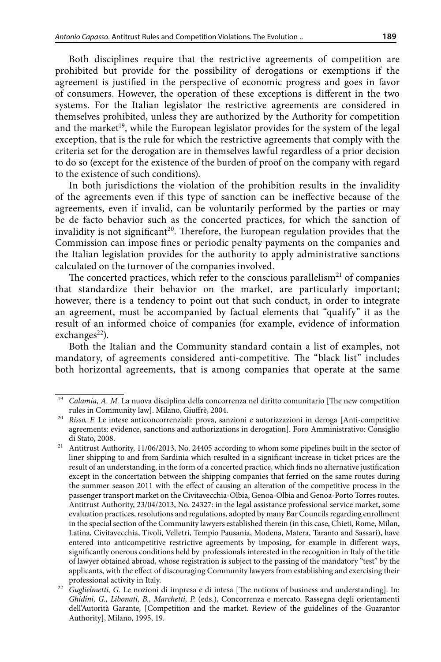Both disciplines require that the restrictive agreements of competition are prohibited but provide for the possibility of derogations or exemptions if the agreement is justified in the perspective of economic progress and goes in favor of consumers. However, the operation of these exceptions is different in the two systems. For the Italian legislator the restrictive agreements are considered in themselves prohibited, unless they are authorized by the Authority for competition and the market<sup>19</sup>, while the European legislator provides for the system of the legal exception, that is the rule for which the restrictive agreements that comply with the criteria set for the derogation are in themselves lawful regardless of a prior decision to do so (except for the existence of the burden of proof on the company with regard to the existence of such conditions).

In both jurisdictions the violation of the prohibition results in the invalidity of the agreements even if this type of sanction can be ineffective because of the agreements, even if invalid, can be voluntarily performed by the parties or may be de facto behavior such as the concerted practices, for which the sanction of invalidity is not significant<sup>20</sup>. Therefore, the European regulation provides that the Commission can impose fines or periodic penalty payments on the companies and the Italian legislation provides for the authority to apply administrative sanctions calculated on the turnover of the companies involved.

The concerted practices, which refer to the conscious parallelism<sup>21</sup> of companies that standardize their behavior on the market, are particularly important; however, there is a tendency to point out that such conduct, in order to integrate an agreement, must be accompanied by factual elements that "qualify" it as the result of an informed choice of companies (for example, evidence of information exchanges $^{22}$ ).

Both the Italian and the Community standard contain a list of examples, not mandatory, of agreements considered anti-competitive. The "black list" includes both horizontal agreements, that is among companies that operate at the same

<sup>&</sup>lt;sup>19</sup> *Calamia, A. M. La nuova disciplina della concorrenza nel diritto comunitario* [The new competition rules in Community law]. Milano, Giuffrè, 2004.

<sup>20</sup> *Risso, F.* Le intese anticoncorrenziali: prova, sanzioni e autorizzazioni in deroga [Anti-competitive agreements: evidence, sanctions and authorizations in derogation]. Foro Amministrativo: Consiglio di Stato, 2008.

<sup>&</sup>lt;sup>21</sup> Antitrust Authority, 11/06/2013, No. 24405 according to whom some pipelines built in the sector of liner shipping to and from Sardinia which resulted in a significant increase in ticket prices are the result of an understanding, in the form of a concerted practice, which finds no alternative justification except in the concertation between the shipping companies that ferried on the same routes during the summer season 2011 with the effect of causing an alteration of the competitive process in the passenger transport market on the Civitavecchia-Olbia, Genoa-Olbia and Genoa-Porto Torres routes. Antitrust Authority, 23/04/2013, No. 24327: in the legal assistance professional service market, some evaluation practices, resolutions and regulations, adopted by many Bar Councils regarding enrollment in the special section of the Community lawyers established therein (in this case, Chieti, Rome, Milan, Latina, Civitavecchia, Tivoli, Velletri, Tempio Pausania, Modena, Matera, Taranto and Sassari), have entered into anticompetitive restrictive agreements by imposing, for example in different ways, significantly onerous conditions held by professionals interested in the recognition in Italy of the title of lawyer obtained abroad, whose registration is subject to the passing of the mandatory "test" by the applicants, with the effect of discouraging Community lawyers from establishing and exercising their professional activity in Italy.

<sup>&</sup>lt;sup>22</sup> *Guglielmetti, G. Le* nozioni di impresa e di intesa [The notions of business and understanding]. In: *Ghidini, G., Libonati, B., Marchetti, P.* (eds.), Concorrenza e mercato. Rassegna degli orientamenti dell'Autorità Garante, [Competition and the market. Review of the guidelines of the Guarantor Authority], Milano, 1995, 19.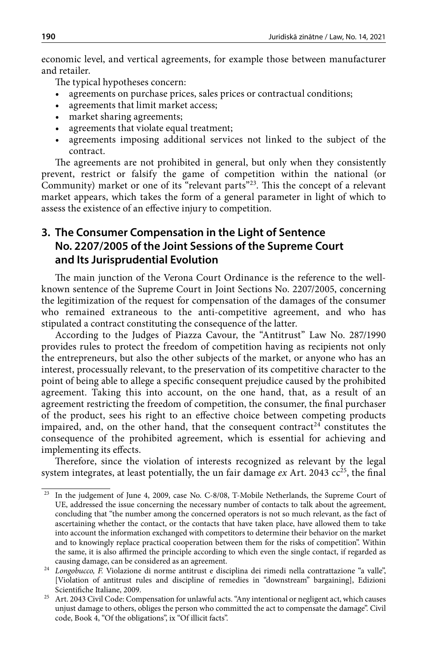economic level, and vertical agreements, for example those between manufacturer and retailer.

The typical hypotheses concern:

- agreements on purchase prices, sales prices or contractual conditions;
- agreements that limit market access;
- market sharing agreements;
- agreements that violate equal treatment;
- agreements imposing additional services not linked to the subject of the contract.

The agreements are not prohibited in general, but only when they consistently prevent, restrict or falsify the game of competition within the national (or Community) market or one of its "relevant parts"23. This the concept of a relevant market appears, which takes the form of a general parameter in light of which to assess the existence of an effective injury to competition.

# **3. The Consumer Compensation in the Light of Sentence No. 2207/2005 of the Joint Sessions of the Supreme Court and Its Jurisprudential Evolution**

The main junction of the Verona Court Ordinance is the reference to the wellknown sentence of the Supreme Court in Joint Sections No. 2207/2005, concerning the legitimization of the request for compensation of the damages of the consumer who remained extraneous to the anti-competitive agreement, and who has stipulated a contract constituting the consequence of the latter.

According to the Judges of Piazza Cavour, the "Antitrust" Law No. 287/1990 provides rules to protect the freedom of competition having as recipients not only the entrepreneurs, but also the other subjects of the market, or anyone who has an interest, processually relevant, to the preservation of its competitive character to the point of being able to allege a specific consequent prejudice caused by the prohibited agreement. Taking this into account, on the one hand, that, as a result of an agreement restricting the freedom of competition, the consumer, the final purchaser of the product, sees his right to an effective choice between competing products impaired, and, on the other hand, that the consequent contract<sup>24</sup> constitutes the consequence of the prohibited agreement, which is essential for achieving and implementing its effects.

Therefore, since the violation of interests recognized as relevant by the legal system integrates, at least potentially, the un fair damage  $ex$  Art. 2043  $cc^{25}$ , the final

<sup>23</sup> In the judgement of June 4, 2009, case No. C-8/08, T-Mobile Netherlands, the Supreme Court of UE, addressed the issue concerning the necessary number of contacts to talk about the agreement, concluding that "the number among the concerned operators is not so much relevant, as the fact of ascertaining whether the contact, or the contacts that have taken place, have allowed them to take into account the information exchanged with competitors to determine their behavior on the market and to knowingly replace practical cooperation between them for the risks of competition". Within the same, it is also affirmed the principle according to which even the single contact, if regarded as causing damage, can be considered as an agreement.

<sup>24</sup> *Longobucco, F.* Violazione di norme antitrust e disciplina dei rimedi nella contrattazione "a valle", [Violation of antitrust rules and discipline of remedies in "downstream" bargaining], Edizioni Scientifiche Italiane, 2009.

<sup>25</sup> Art. 2043 Civil Code: Compensation for unlawful acts. "Any intentional or negligent act, which causes unjust damage to others, obliges the person who committed the act to compensate the damage". Civil code, Book 4, "Of the obligations", ix "Of illicit facts".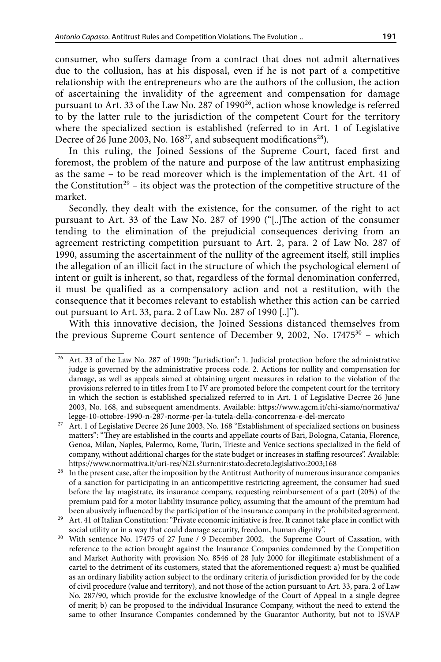consumer, who suffers damage from a contract that does not admit alternatives due to the collusion, has at his disposal, even if he is not part of a competitive relationship with the entrepreneurs who are the authors of the collusion, the action of ascertaining the invalidity of the agreement and compensation for damage pursuant to Art. 33 of the Law No. 287 of 1990<sup>26</sup>, action whose knowledge is referred to by the latter rule to the jurisdiction of the competent Court for the territory where the specialized section is established (referred to in Art. 1 of Legislative Decree of 26 June 2003, No.  $168^{27}$ , and subsequent modifications<sup>28</sup>).

In this ruling, the Joined Sessions of the Supreme Court, faced first and foremost, the problem of the nature and purpose of the law antitrust emphasizing as the same – to be read moreover which is the implementation of the Art. 41 of the Constitution<sup>29</sup> – its object was the protection of the competitive structure of the market.

Secondly, they dealt with the existence, for the consumer, of the right to act pursuant to Art. 33 of the Law No. 287 of 1990 ("[..]The action of the consumer tending to the elimination of the prejudicial consequences deriving from an agreement restricting competition pursuant to Art. 2, para. 2 of Law No. 287 of 1990, assuming the ascertainment of the nullity of the agreement itself, still implies the allegation of an illicit fact in the structure of which the psychological element of intent or guilt is inherent, so that, regardless of the formal denomination conferred, it must be qualified as a compensatory action and not a restitution, with the consequence that it becomes relevant to establish whether this action can be carried out pursuant to Art. 33, para. 2 of Law No. 287 of 1990 [..]").

With this innovative decision, the Joined Sessions distanced themselves from the previous Supreme Court sentence of December 9, 2002, No. 17475<sup>30</sup> - which

<sup>26</sup> Art. 33 of the Law No. 287 of 1990: "Jurisdiction": 1. Judicial protection before the administrative judge is governed by the administrative process code. 2. Actions for nullity and compensation for damage, as well as appeals aimed at obtaining urgent measures in relation to the violation of the provisions referred to in titles from I to IV are promoted before the competent court for the territory in which the section is established specialized referred to in Art. 1 of Legislative Decree 26 June 2003, No. 168, and subsequent amendments. Available: https://www.agcm.it/chi-siamo/normativa/ legge-10-ottobre-1990-n-287-norme-per-la-tutela-della-concorrenza-e-del-mercato

<sup>&</sup>lt;sup>27</sup> Art. 1 of Legislative Decree 26 June 2003, No. 168 "Establishment of specialized sections on business matters": "They are established in the courts and appellate courts of Bari, Bologna, Catania, Florence, Genoa, Milan, Naples, Palermo, Rome, Turin, Trieste and Venice sections specialized in the field of company, without additional charges for the state budget or increases in staffing resources". Available: https://www.normattiva.it/uri-res/N2Ls?urn:nir:stato:decreto.legislativo:2003;168

<sup>28</sup> In the present case, after the imposition by the Antitrust Authority of numerous insurance companies of a sanction for participating in an anticompetitive restricting agreement, the consumer had sued before the lay magistrate, its insurance company, requesting reimbursement of a part (20%) of the premium paid for a motor liability insurance policy, assuming that the amount of the premium had been abusively influenced by the participation of the insurance company in the prohibited agreement.

<sup>&</sup>lt;sup>29</sup> Art. 41 of Italian Constitution: "Private economic initiative is free. It cannot take place in conflict with social utility or in a way that could damage security, freedom, human dignity".

<sup>&</sup>lt;sup>30</sup> With sentence No. 17475 of 27 June / 9 December 2002, the Supreme Court of Cassation, with reference to the action brought against the Insurance Companies condemned by the Competition and Market Authority with provision No. 8546 of 28 July 2000 for illegitimate establishment of a cartel to the detriment of its customers, stated that the aforementioned request: a) must be qualified as an ordinary liability action subject to the ordinary criteria of jurisdiction provided for by the code of civil procedure (value and territory), and not those of the action pursuant to Art. 33, para. 2 of Law No. 287/90, which provide for the exclusive knowledge of the Court of Appeal in a single degree of merit; b) can be proposed to the individual Insurance Company, without the need to extend the same to other Insurance Companies condemned by the Guarantor Authority, but not to ISVAP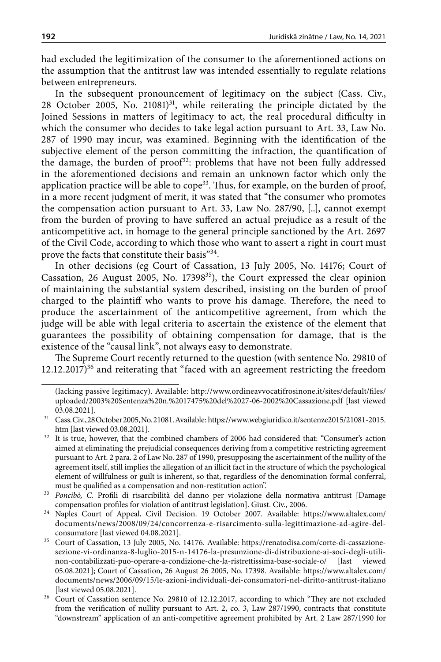had excluded the legitimization of the consumer to the aforementioned actions on the assumption that the antitrust law was intended essentially to regulate relations between entrepreneurs.

In the subsequent pronouncement of legitimacy on the subject (Cass. Civ., 28 October 2005, No. 21081)31, while reiterating the principle dictated by the Joined Sessions in matters of legitimacy to act, the real procedural difficulty in which the consumer who decides to take legal action pursuant to Art. 33, Law No. 287 of 1990 may incur, was examined. Beginning with the identification of the subjective element of the person committing the infraction, the quantification of the damage, the burden of proof<sup>32</sup>: problems that have not been fully addressed in the aforementioned decisions and remain an unknown factor which only the application practice will be able to  $\text{cope}^{33}$ . Thus, for example, on the burden of proof, in a more recent judgment of merit, it was stated that "the consumer who promotes the compensation action pursuant to Art. 33, Law No. 287/90, [..], cannot exempt from the burden of proving to have suffered an actual prejudice as a result of the anticompetitive act, in homage to the general principle sanctioned by the Art. 2697 of the Civil Code, according to which those who want to assert a right in court must prove the facts that constitute their basis"34.

In other decisions (eg Court of Cassation, 13 July 2005, No. 14176; Court of Cassation, 26 August 2005, No. 17398<sup>35</sup>), the Court expressed the clear opinion of maintaining the substantial system described, insisting on the burden of proof charged to the plaintiff who wants to prove his damage. Therefore, the need to produce the ascertainment of the anticompetitive agreement, from which the judge will be able with legal criteria to ascertain the existence of the element that guarantees the possibility of obtaining compensation for damage, that is the existence of the "causal link", not always easy to demonstrate.

The Supreme Court recently returned to the question (with sentence No. 29810 of 12.12.2017)36 and reiterating that "faced with an agreement restricting the freedom

<sup>(</sup>lacking passive legitimacy). Available: http://www.ordineavvocatifrosinone.it/sites/default/files/ uploaded/2003%20Sentenza%20n.%2017475%20del%2027-06-2002%20Cassazione.pdf [last viewed 03.08.2021].

<sup>31</sup> Cass. Civ., 28 October 2005, No. 21081. Available: [https://www.webgiuridico.it/sentenze2015/21081-2015.](https://www.webgiuridico.it/sentenze2015/21081-2015.htm) [htm](https://www.webgiuridico.it/sentenze2015/21081-2015.htm) [last viewed 03.08.2021].

<sup>&</sup>lt;sup>32</sup> It is true, however, that the combined chambers of 2006 had considered that: "Consumer's action aimed at eliminating the prejudicial consequences deriving from a competitive restricting agreement pursuant to Art. 2 para. 2 of Law No. 287 of 1990, presupposing the ascertainment of the nullity of the agreement itself, still implies the allegation of an illicit fact in the structure of which the psychological element of willfulness or guilt is inherent, so that, regardless of the denomination formal conferral, must be qualified as a compensation and non-restitution action".

<sup>33</sup> *Poncibò, C.* Profili di risarcibilità del danno per violazione della normativa antitrust [Damage compensation profiles for violation of antitrust legislation]. Giust. Civ., 2006.

<sup>34</sup> Naples Court of Appeal, Civil Decision. 19 October 2007. Available: [https://www.altalex.com/](https://www.altalex.com/documents/news/2008/09/24/concorrenza-e-risarcimento-sulla-legittimazione-ad-agire-del-consumatore) [documents/news/2008/09/24/concorrenza-e-risarcimento-sulla-legittimazione-ad-agire-del](https://www.altalex.com/documents/news/2008/09/24/concorrenza-e-risarcimento-sulla-legittimazione-ad-agire-del-consumatore)[consumatore](https://www.altalex.com/documents/news/2008/09/24/concorrenza-e-risarcimento-sulla-legittimazione-ad-agire-del-consumatore) [last viewed 04.08.2021].

<sup>35</sup> Court of Cassation, 13 July 2005, No. 14176. Available: https://renatodisa.com/corte-di-cassazionesezione-vi-ordinanza-8-luglio-2015-n-14176-la-presunzione-di-distribuzione-ai-soci-degli-utilinon-contabilizzati-puo-operare-a-condizione-che-la-ristrettissima-base-sociale-o/ [last viewed 05.08.2021]; Court of Cassation, 26 August 26 2005, No. 17398. Available: [https://www.altalex.com/](https://www.altalex.com/documents/news/2006/09/15/le-azioni-individuali-dei-consumatori-nel-diritto-antitrust-italiano) [documents/news/2006/09/15/le-azioni-individuali-dei-consumatori-nel-diritto-antitrust-italiano](https://www.altalex.com/documents/news/2006/09/15/le-azioni-individuali-dei-consumatori-nel-diritto-antitrust-italiano) [last viewed 05.08.2021].

<sup>&</sup>lt;sup>36</sup> Court of Cassation sentence No. 29810 of 12.12.2017, according to which "They are not excluded from the verification of nullity pursuant to Art. 2, co. 3, Law 287/1990, contracts that constitute "downstream" application of an anti-competitive agreement prohibited by Art. 2 Law 287/1990 for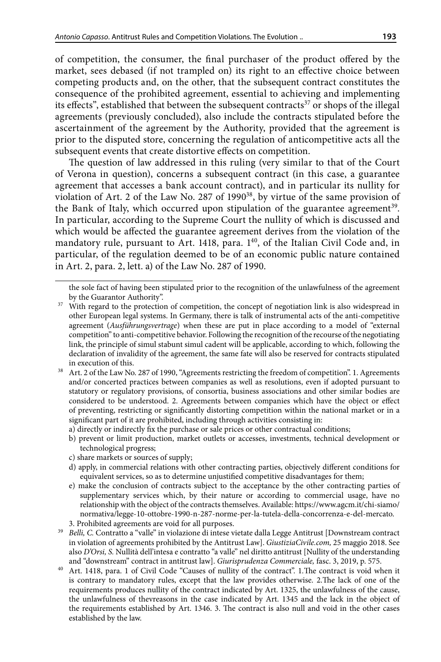of competition, the consumer, the final purchaser of the product offered by the market, sees debased (if not trampled on) its right to an effective choice between competing products and, on the other, that the subsequent contract constitutes the consequence of the prohibited agreement, essential to achieving and implementing its effects", established that between the subsequent contracts $37$  or shops of the illegal agreements (previously concluded), also include the contracts stipulated before the ascertainment of the agreement by the Authority, provided that the agreement is prior to the disputed store, concerning the regulation of anticompetitive acts all the subsequent events that create distortive effects on competition.

The question of law addressed in this ruling (very similar to that of the Court of Verona in question), concerns a subsequent contract (in this case, a guarantee agreement that accesses a bank account contract), and in particular its nullity for violation of Art. 2 of the Law No. 287 of 1990<sup>38</sup>, by virtue of the same provision of the Bank of Italy, which occurred upon stipulation of the guarantee agreement<sup>39</sup>. In particular, according to the Supreme Court the nullity of which is discussed and which would be affected the guarantee agreement derives from the violation of the mandatory rule, pursuant to Art. 1418, para. 1<sup>40</sup>, of the Italian Civil Code and, in particular, of the regulation deemed to be of an economic public nature contained in Art. 2, para. 2, lett. a) of the Law No. 287 of 1990.

- c) share markets or sources of supply;
- d) apply, in commercial relations with other contracting parties, objectively different conditions for equivalent services, so as to determine unjustified competitive disadvantages for them;
- e) make the conclusion of contracts subject to the acceptance by the other contracting parties of supplementary services which, by their nature or according to commercial usage, have no relationship with the object of the contracts themselves. Available: https://www.agcm.it/chi-siamo/ normativa/legge-10-ottobre-1990-n-287-norme-per-la-tutela-della-concorrenza-e-del-mercato.

- <sup>39</sup> *Belli, C.* Contratto a "valle" in violazione di intese vietate dalla Legge Antitrust [Downstream contract in violation of agreements prohibited by the Antitrust Law]. *GiustiziaCivile.com,* 25 maggio 2018. See also *D'Orsi, S.* Nullità dell'intesa e contratto "a valle" nel diritto antitrust [Nullity of the understanding and "downstream" contract in antitrust law]. *Giurisprudenza Commerciale,* fasc. 3, 2019, p. 575.
- <sup>40</sup> Art. 1418, para. 1 of Civil Code "Causes of nullity of the contract". 1*.*The contract is void when it is contrary to mandatory rules, except that the law provides otherwise. 2.The lack of one of the requirements produces nullity of the contract indicated by Art. 1325, the unlawfulness of the cause, the unlawfulness of thevreasons in the case indicated by Art. 1345 and the lack in the object of the requirements established by Art. 1346. 3. The contract is also null and void in the other cases established by the law.

the sole fact of having been stipulated prior to the recognition of the unlawfulness of the agreement by the Guarantor Authority".

<sup>&</sup>lt;sup>37</sup> With regard to the protection of competition, the concept of negotiation link is also widespread in other European legal systems. In Germany, there is talk of instrumental acts of the anti-competitive agreement (*Ausführungsvertrage*) when these are put in place according to a model of "external competition" to anti-competitive behavior. Following the recognition of the recourse of the negotiating link, the principle of simul stabunt simul cadent will be applicable, according to which, following the declaration of invalidity of the agreement, the same fate will also be reserved for contracts stipulated in execution of this.

<sup>38</sup> Art. 2 of the Law No. 287 of 1990, "Agreements restricting the freedom of competition". 1. Agreements and/or concerted practices between companies as well as resolutions, even if adopted pursuant to statutory or regulatory provisions, of consortia, business associations and other similar bodies are considered to be understood. 2. Agreements between companies which have the object or effect of preventing, restricting or significantly distorting competition within the national market or in a significant part of it are prohibited, including through activities consisting in:

a) directly or indirectly fix the purchase or sale prices or other contractual conditions;

b) prevent or limit production, market outlets or accesses, investments, technical development or technological progress;

<sup>3.</sup> Prohibited agreements are void for all purposes.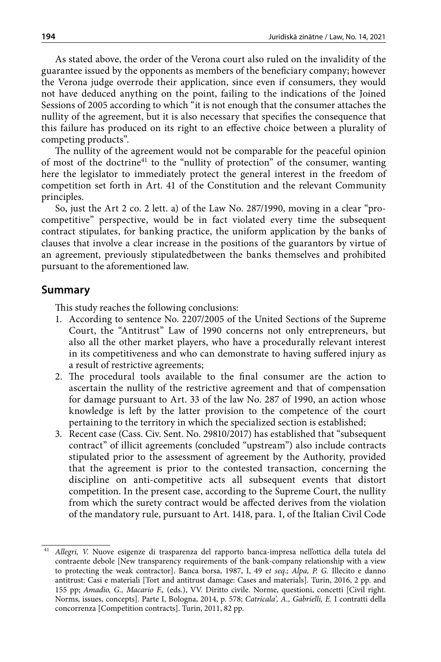As stated above, the order of the Verona court also ruled on the invalidity of the guarantee issued by the opponents as members of the beneficiary company; however the Verona judge overrode their application, since even if consumers, they would not have deduced anything on the point, failing to the indications of the Joined Sessions of 2005 according to which "it is not enough that the consumer attaches the nullity of the agreement, but it is also necessary that specifies the consequence that this failure has produced on its right to an effective choice between a plurality of competing products".

The nullity of the agreement would not be comparable for the peaceful opinion of most of the doctrine<sup>41</sup> to the "nullity of protection" of the consumer, wanting here the legislator to immediately protect the general interest in the freedom of competition set forth in Art. 41 of the Constitution and the relevant Community principles.

So, just the Art 2 co. 2 lett. a) of the Law No. 287/1990, moving in a clear "procompetitive" perspective, would be in fact violated every time the subsequent contract stipulates, for banking practice, the uniform application by the banks of clauses that involve a clear increase in the positions of the guarantors by virtue of an agreement, previously stipulatedbetween the banks themselves and prohibited pursuant to the aforementioned law.

### **Summary**

This study reaches the following conclusions:

- 1. According to sentence No. 2207/2005 of the United Sections of the Supreme Court, the "Antitrust" Law of 1990 concerns not only entrepreneurs, but also all the other market players, who have a procedurally relevant interest in its competitiveness and who can demonstrate to having suffered injury as a result of restrictive agreements;
- 2. The procedural tools available to the final consumer are the action to ascertain the nullity of the restrictive agreement and that of compensation for damage pursuant to Art. 33 of the law No. 287 of 1990, an action whose knowledge is left by the latter provision to the competence of the court pertaining to the territory in which the specialized section is established;
- 3. Recent case (Cass. Civ. Sent. No. 29810/2017) has established that "subsequent contract" of illicit agreements (concluded "upstream") also include contracts stipulated prior to the assessment of agreement by the Authority, provided that the agreement is prior to the contested transaction, concerning the discipline on anti-competitive acts all subsequent events that distort competition. In the present case, according to the Supreme Court, the nullity from which the surety contract would be affected derives from the violation of the mandatory rule, pursuant to Art. 1418, para. 1, of the Italian Civil Code

<sup>41</sup> *Allegri, V.* Nuove esigenze di trasparenza del rapporto banca-impresa nell'ottica della tutela del contraente debole [New transparency requirements of the bank-company relationship with a view to protecting the weak contractor]. Banca borsa, 1987, I, 49 e*t seq*.; *Alpa, P. G.* Illecito e danno antitrust: Casi e materiali [Tort and antitrust damage: Cases and materials]. Turin, 2016, 2 pp. and 155 pp; *Amadio, G., Macario F.,* (eds.), VV. Diritto civile. Norme, questioni, concetti [Civil right. Norms, issues, concepts]. Parte I, Bologna, 2014, p. 578; *Catricala', A., Gabrielli, E.* I contratti della concorrenza [Competition contracts]. Turin, 2011, 82 pp.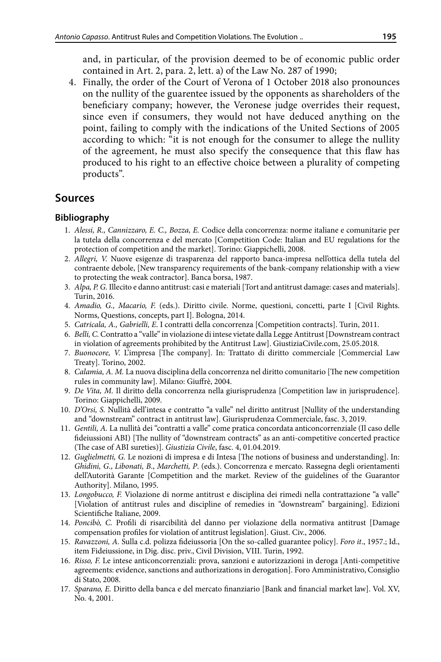and, in particular, of the provision deemed to be of economic public order contained in Art. 2, para. 2, lett. a) of the Law No. 287 of 1990;

4. Finally, the order of the Court of Verona of 1 October 2018 also pronounces on the nullity of the guarentee issued by the opponents as shareholders of the beneficiary company; however, the Veronese judge overrides their request, since even if consumers, they would not have deduced anything on the point, failing to comply with the indications of the United Sections of 2005 according to which: "it is not enough for the consumer to allege the nullity of the agreement, he must also specify the consequence that this flaw has produced to his right to an effective choice between a plurality of competing products".

## **Sources**

### **Bibliography**

- 1. *Alessi, R., Cannizzaro, E. C., Bozza, E.* Codice della concorrenza: norme italiane e comunitarie per la tutela della concorrenza e del mercato [Competition Code: Italian and EU regulations for the protection of competition and the market]. Torino: Giappichelli, 2008.
- 2. *Allegri, V.* Nuove esigenze di trasparenza del rapporto banca-impresa nell'ottica della tutela del contraente debole, [New transparency requirements of the bank-company relationship with a view to protecting the weak contractor]. Banca borsa, 1987.
- 3. *Alpa, P. G.* Illecito e danno antitrust: casi e materiali [Tort and antitrust damage: cases and materials]. Turin, 2016.
- 4. *Amadio, G., Macario, F.* (eds.). Diritto civile. Norme, questioni, concetti, parte I [Civil Rights. Norms, Questions, concepts, part I]. Bologna, 2014.
- 5. *Catricala, A., Gabrielli, E*. I contratti della concorrenza [Competition contracts]. Turin, 2011.
- 6. *Belli, C.* Contratto a "valle" in violazione di intese vietate dalla Legge Antitrust [Downstream contract in violation of agreements prohibited by the Antitrust Law]. GiustiziaCivile.com, 25.05.2018*.*
- 7. *Buonocore, V.* L'impresa [The company]. In: Trattato di diritto commerciale [Commercial Law Treaty]. Torino, 2002.
- 8. *Calamia, A. M.* La nuova disciplina della concorrenza nel diritto comunitario [The new competition rules in community law]. Milano: Giuffrè, 2004.
- 9. *De Vita, M.* Il diritto della concorrenza nella giurisprudenza [Competition law in jurisprudence]. Torino: Giappichelli, 2009.
- 10. *D'Orsi, S.* Nullità dell'intesa e contratto "a valle" nel diritto antitrust [Nullity of the understanding and "downstream" contract in antitrust law]. Giurisprudenza Commerciale, fasc. 3, 2019.
- 11. *Gentili, A.* La nullità dei "contratti a valle" come pratica concordata anticoncorrenziale (Il caso delle fideiussioni ABI) [The nullity of "downstream contracts" as an anti-competitive concerted practice (The case of ABI sureties)]. *Giustizia Civile*, fasc. 4, 01.04.2019.
- 12. *Guglielmetti, G.* Le nozioni di impresa e di Intesa [The notions of business and understanding]. In: *Ghidini, G*., *Libonati, B*., *Marchetti, P*. (eds.). Concorrenza e mercato. Rassegna degli orientamenti dell'Autorità Garante [Competition and the market. Review of the guidelines of the Guarantor Authority]. Milano, 1995.
- 13. *Longobucco, F.* Violazione di norme antitrust e disciplina dei rimedi nella contrattazione "a valle" [Violation of antitrust rules and discipline of remedies in "downstream" bargaining]. Edizioni Scientifiche Italiane, 2009.
- 14. *Poncibò, C.* Profili di risarcibilità del danno per violazione della normativa antitrust [Damage compensation profiles for violation of antitrust legislation]. Giust. Civ., 2006.
- 15. *Ravazzoni, A.* Sulla c.d. polizza fideiussoria [On the so-called guarantee policy]. *Foro it*., 1957.; Id., item Fideiussione, in Dig. disc. priv., Civil Division, VIII. Turin, 1992.
- 16. *Risso, F.* Le intese anticoncorrenziali: prova, sanzioni e autorizzazioni in deroga [Anti-competitive agreements: evidence, sanctions and authorizations in derogation]. Foro Amministrativo, Consiglio di Stato, 2008.
- 17. *Sparano, E.* Diritto della banca e del mercato finanziario [Bank and financial market law]. Vol. XV, No. 4, 2001.